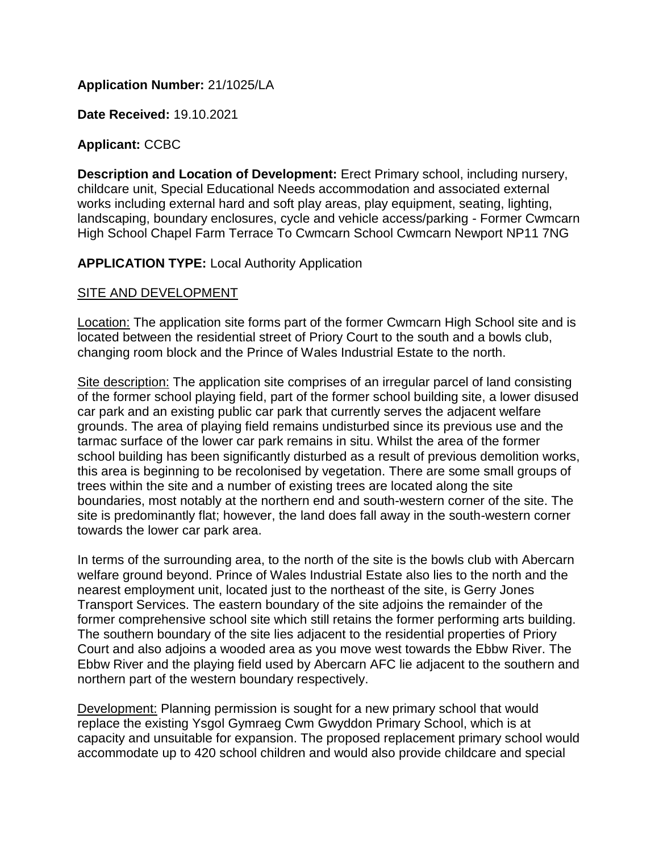## **Application Number:** 21/1025/LA

**Date Received:** 19.10.2021

### **Applicant:** CCBC

**Description and Location of Development:** Erect Primary school, including nursery, childcare unit, Special Educational Needs accommodation and associated external works including external hard and soft play areas, play equipment, seating, lighting, landscaping, boundary enclosures, cycle and vehicle access/parking - Former Cwmcarn High School Chapel Farm Terrace To Cwmcarn School Cwmcarn Newport NP11 7NG

### **APPLICATION TYPE:** Local Authority Application

## SITE AND DEVELOPMENT

Location: The application site forms part of the former Cwmcarn High School site and is located between the residential street of Priory Court to the south and a bowls club, changing room block and the Prince of Wales Industrial Estate to the north.

Site description: The application site comprises of an irregular parcel of land consisting of the former school playing field, part of the former school building site, a lower disused car park and an existing public car park that currently serves the adjacent welfare grounds. The area of playing field remains undisturbed since its previous use and the tarmac surface of the lower car park remains in situ. Whilst the area of the former school building has been significantly disturbed as a result of previous demolition works, this area is beginning to be recolonised by vegetation. There are some small groups of trees within the site and a number of existing trees are located along the site boundaries, most notably at the northern end and south-western corner of the site. The site is predominantly flat; however, the land does fall away in the south-western corner towards the lower car park area.

In terms of the surrounding area, to the north of the site is the bowls club with Abercarn welfare ground beyond. Prince of Wales Industrial Estate also lies to the north and the nearest employment unit, located just to the northeast of the site, is Gerry Jones Transport Services. The eastern boundary of the site adjoins the remainder of the former comprehensive school site which still retains the former performing arts building. The southern boundary of the site lies adjacent to the residential properties of Priory Court and also adjoins a wooded area as you move west towards the Ebbw River. The Ebbw River and the playing field used by Abercarn AFC lie adjacent to the southern and northern part of the western boundary respectively.

Development: Planning permission is sought for a new primary school that would replace the existing Ysgol Gymraeg Cwm Gwyddon Primary School, which is at capacity and unsuitable for expansion. The proposed replacement primary school would accommodate up to 420 school children and would also provide childcare and special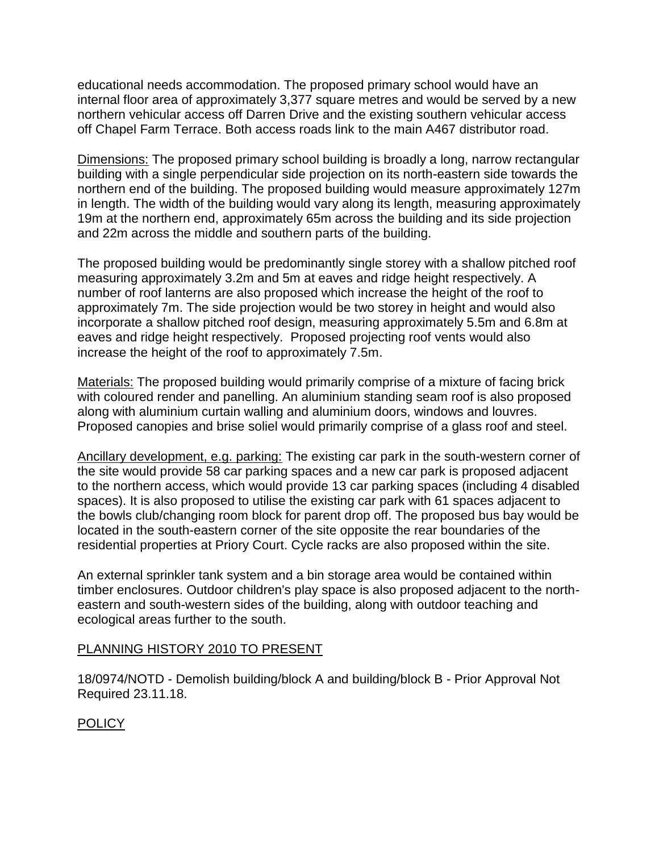educational needs accommodation. The proposed primary school would have an internal floor area of approximately 3,377 square metres and would be served by a new northern vehicular access off Darren Drive and the existing southern vehicular access off Chapel Farm Terrace. Both access roads link to the main A467 distributor road.

Dimensions: The proposed primary school building is broadly a long, narrow rectangular building with a single perpendicular side projection on its north-eastern side towards the northern end of the building. The proposed building would measure approximately 127m in length. The width of the building would vary along its length, measuring approximately 19m at the northern end, approximately 65m across the building and its side projection and 22m across the middle and southern parts of the building.

The proposed building would be predominantly single storey with a shallow pitched roof measuring approximately 3.2m and 5m at eaves and ridge height respectively. A number of roof lanterns are also proposed which increase the height of the roof to approximately 7m. The side projection would be two storey in height and would also incorporate a shallow pitched roof design, measuring approximately 5.5m and 6.8m at eaves and ridge height respectively. Proposed projecting roof vents would also increase the height of the roof to approximately 7.5m.

Materials: The proposed building would primarily comprise of a mixture of facing brick with coloured render and panelling. An aluminium standing seam roof is also proposed along with aluminium curtain walling and aluminium doors, windows and louvres. Proposed canopies and brise soliel would primarily comprise of a glass roof and steel.

Ancillary development, e.g. parking: The existing car park in the south-western corner of the site would provide 58 car parking spaces and a new car park is proposed adjacent to the northern access, which would provide 13 car parking spaces (including 4 disabled spaces). It is also proposed to utilise the existing car park with 61 spaces adjacent to the bowls club/changing room block for parent drop off. The proposed bus bay would be located in the south-eastern corner of the site opposite the rear boundaries of the residential properties at Priory Court. Cycle racks are also proposed within the site.

An external sprinkler tank system and a bin storage area would be contained within timber enclosures. Outdoor children's play space is also proposed adjacent to the northeastern and south-western sides of the building, along with outdoor teaching and ecological areas further to the south.

## PLANNING HISTORY 2010 TO PRESENT

18/0974/NOTD - Demolish building/block A and building/block B - Prior Approval Not Required 23.11.18.

# POLICY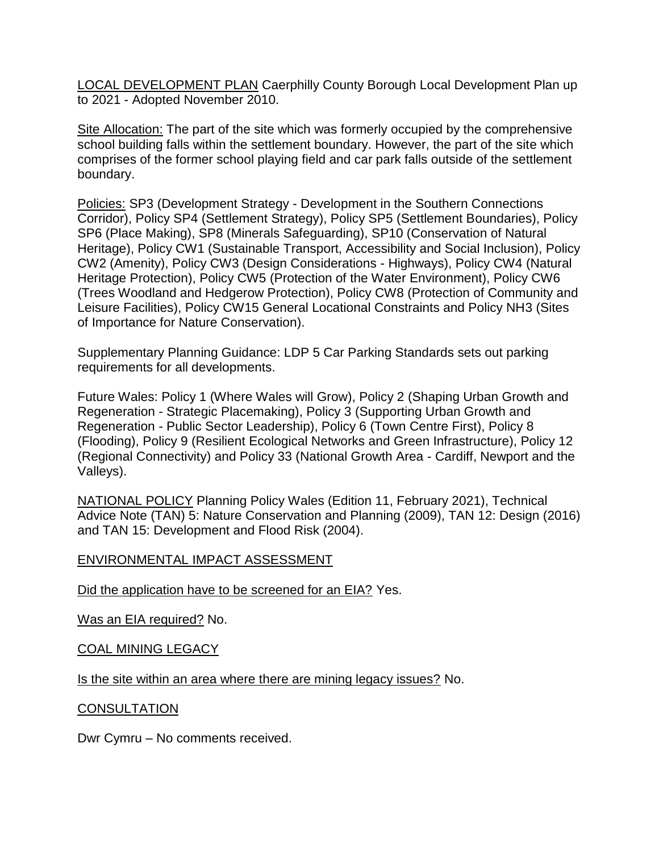LOCAL DEVELOPMENT PLAN Caerphilly County Borough Local Development Plan up to 2021 - Adopted November 2010.

Site Allocation: The part of the site which was formerly occupied by the comprehensive school building falls within the settlement boundary. However, the part of the site which comprises of the former school playing field and car park falls outside of the settlement boundary.

Policies: SP3 (Development Strategy - Development in the Southern Connections Corridor), Policy SP4 (Settlement Strategy), Policy SP5 (Settlement Boundaries), Policy SP6 (Place Making), SP8 (Minerals Safeguarding), SP10 (Conservation of Natural Heritage), Policy CW1 (Sustainable Transport, Accessibility and Social Inclusion), Policy CW2 (Amenity), Policy CW3 (Design Considerations - Highways), Policy CW4 (Natural Heritage Protection), Policy CW5 (Protection of the Water Environment), Policy CW6 (Trees Woodland and Hedgerow Protection), Policy CW8 (Protection of Community and Leisure Facilities), Policy CW15 General Locational Constraints and Policy NH3 (Sites of Importance for Nature Conservation).

Supplementary Planning Guidance: LDP 5 Car Parking Standards sets out parking requirements for all developments.

Future Wales: Policy 1 (Where Wales will Grow), Policy 2 (Shaping Urban Growth and Regeneration - Strategic Placemaking), Policy 3 (Supporting Urban Growth and Regeneration - Public Sector Leadership), Policy 6 (Town Centre First), Policy 8 (Flooding), Policy 9 (Resilient Ecological Networks and Green Infrastructure), Policy 12 (Regional Connectivity) and Policy 33 (National Growth Area - Cardiff, Newport and the Valleys).

NATIONAL POLICY Planning Policy Wales (Edition 11, February 2021), Technical Advice Note (TAN) 5: Nature Conservation and Planning (2009), TAN 12: Design (2016) and TAN 15: Development and Flood Risk (2004).

#### ENVIRONMENTAL IMPACT ASSESSMENT

Did the application have to be screened for an EIA? Yes.

Was an EIA required? No.

#### COAL MINING LEGACY

Is the site within an area where there are mining legacy issues? No.

#### **CONSULTATION**

Dwr Cymru – No comments received.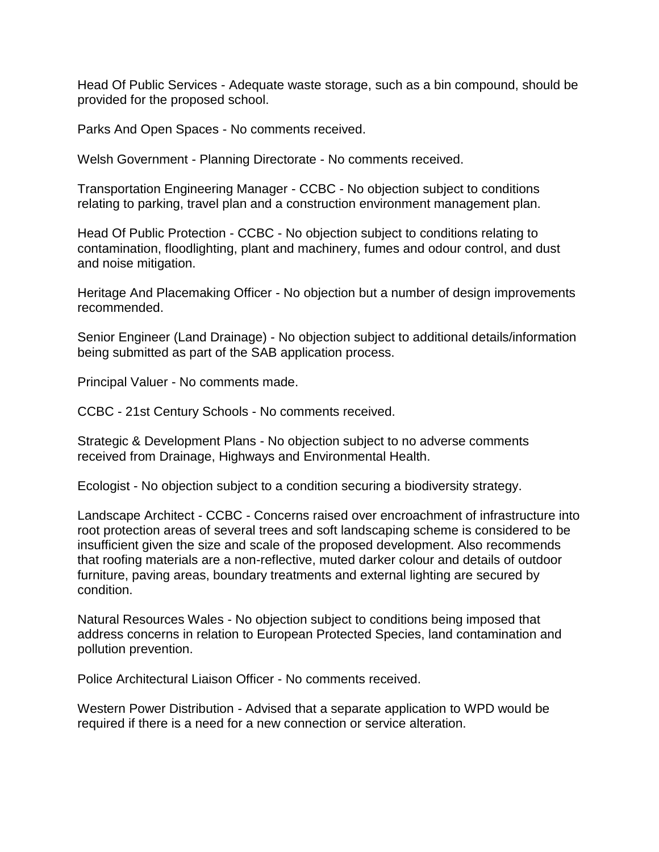Head Of Public Services - Adequate waste storage, such as a bin compound, should be provided for the proposed school.

Parks And Open Spaces - No comments received.

Welsh Government - Planning Directorate - No comments received.

Transportation Engineering Manager - CCBC - No objection subject to conditions relating to parking, travel plan and a construction environment management plan.

Head Of Public Protection - CCBC - No objection subject to conditions relating to contamination, floodlighting, plant and machinery, fumes and odour control, and dust and noise mitigation.

Heritage And Placemaking Officer - No objection but a number of design improvements recommended.

Senior Engineer (Land Drainage) - No objection subject to additional details/information being submitted as part of the SAB application process.

Principal Valuer - No comments made.

CCBC - 21st Century Schools - No comments received.

Strategic & Development Plans - No objection subject to no adverse comments received from Drainage, Highways and Environmental Health.

Ecologist - No objection subject to a condition securing a biodiversity strategy.

Landscape Architect - CCBC - Concerns raised over encroachment of infrastructure into root protection areas of several trees and soft landscaping scheme is considered to be insufficient given the size and scale of the proposed development. Also recommends that roofing materials are a non-reflective, muted darker colour and details of outdoor furniture, paving areas, boundary treatments and external lighting are secured by condition.

Natural Resources Wales - No objection subject to conditions being imposed that address concerns in relation to European Protected Species, land contamination and pollution prevention.

Police Architectural Liaison Officer - No comments received.

Western Power Distribution - Advised that a separate application to WPD would be required if there is a need for a new connection or service alteration.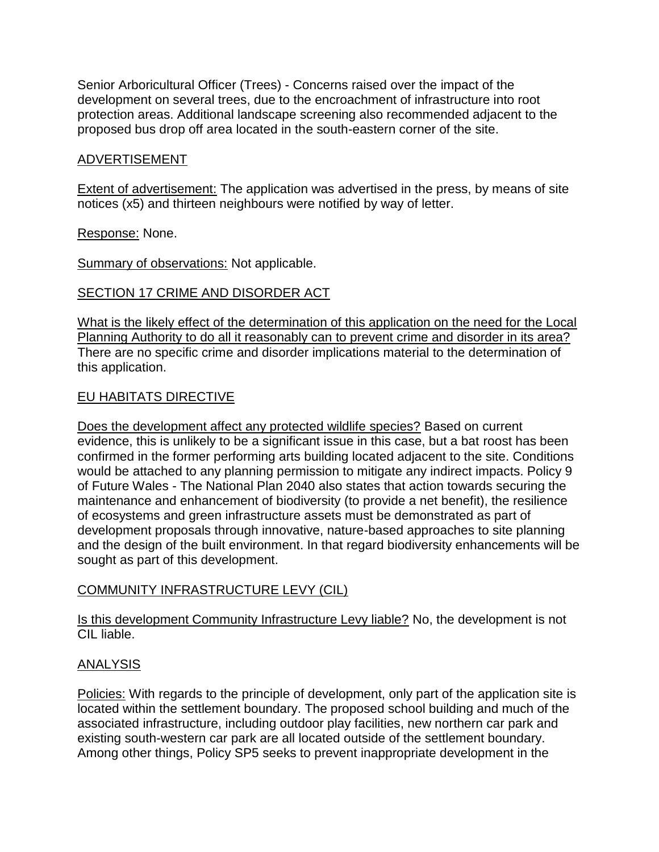Senior Arboricultural Officer (Trees) - Concerns raised over the impact of the development on several trees, due to the encroachment of infrastructure into root protection areas. Additional landscape screening also recommended adjacent to the proposed bus drop off area located in the south-eastern corner of the site.

# ADVERTISEMENT

Extent of advertisement: The application was advertised in the press, by means of site notices (x5) and thirteen neighbours were notified by way of letter.

### Response: None.

Summary of observations: Not applicable.

## SECTION 17 CRIME AND DISORDER ACT

What is the likely effect of the determination of this application on the need for the Local Planning Authority to do all it reasonably can to prevent crime and disorder in its area? There are no specific crime and disorder implications material to the determination of this application.

### EU HABITATS DIRECTIVE

Does the development affect any protected wildlife species? Based on current evidence, this is unlikely to be a significant issue in this case, but a bat roost has been confirmed in the former performing arts building located adjacent to the site. Conditions would be attached to any planning permission to mitigate any indirect impacts. Policy 9 of Future Wales - The National Plan 2040 also states that action towards securing the maintenance and enhancement of biodiversity (to provide a net benefit), the resilience of ecosystems and green infrastructure assets must be demonstrated as part of development proposals through innovative, nature-based approaches to site planning and the design of the built environment. In that regard biodiversity enhancements will be sought as part of this development.

## COMMUNITY INFRASTRUCTURE LEVY (CIL)

Is this development Community Infrastructure Levy liable? No, the development is not CIL liable.

## ANALYSIS

Policies: With regards to the principle of development, only part of the application site is located within the settlement boundary. The proposed school building and much of the associated infrastructure, including outdoor play facilities, new northern car park and existing south-western car park are all located outside of the settlement boundary. Among other things, Policy SP5 seeks to prevent inappropriate development in the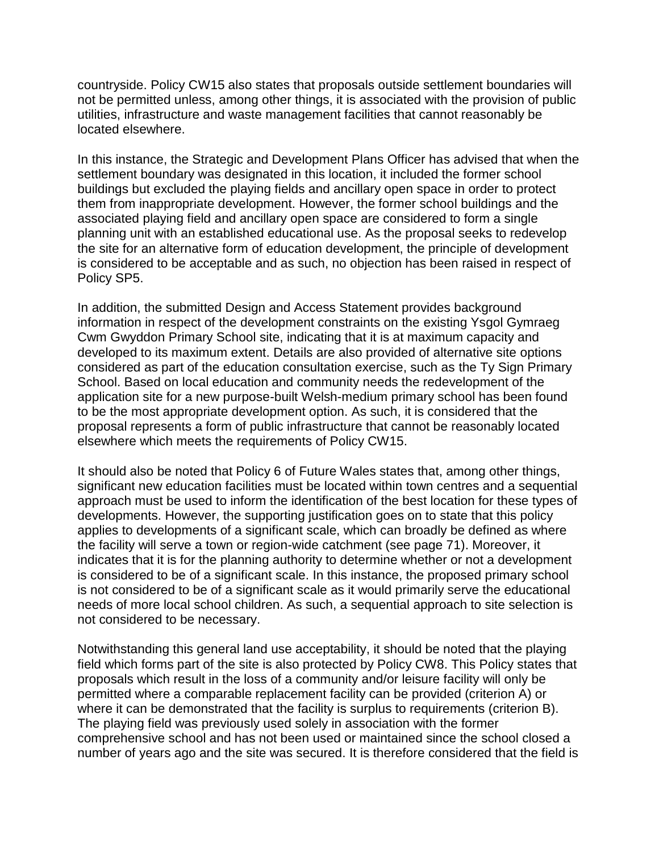countryside. Policy CW15 also states that proposals outside settlement boundaries will not be permitted unless, among other things, it is associated with the provision of public utilities, infrastructure and waste management facilities that cannot reasonably be located elsewhere.

In this instance, the Strategic and Development Plans Officer has advised that when the settlement boundary was designated in this location, it included the former school buildings but excluded the playing fields and ancillary open space in order to protect them from inappropriate development. However, the former school buildings and the associated playing field and ancillary open space are considered to form a single planning unit with an established educational use. As the proposal seeks to redevelop the site for an alternative form of education development, the principle of development is considered to be acceptable and as such, no objection has been raised in respect of Policy SP5.

In addition, the submitted Design and Access Statement provides background information in respect of the development constraints on the existing Ysgol Gymraeg Cwm Gwyddon Primary School site, indicating that it is at maximum capacity and developed to its maximum extent. Details are also provided of alternative site options considered as part of the education consultation exercise, such as the Ty Sign Primary School. Based on local education and community needs the redevelopment of the application site for a new purpose-built Welsh-medium primary school has been found to be the most appropriate development option. As such, it is considered that the proposal represents a form of public infrastructure that cannot be reasonably located elsewhere which meets the requirements of Policy CW15.

It should also be noted that Policy 6 of Future Wales states that, among other things, significant new education facilities must be located within town centres and a sequential approach must be used to inform the identification of the best location for these types of developments. However, the supporting justification goes on to state that this policy applies to developments of a significant scale, which can broadly be defined as where the facility will serve a town or region-wide catchment (see page 71). Moreover, it indicates that it is for the planning authority to determine whether or not a development is considered to be of a significant scale. In this instance, the proposed primary school is not considered to be of a significant scale as it would primarily serve the educational needs of more local school children. As such, a sequential approach to site selection is not considered to be necessary.

Notwithstanding this general land use acceptability, it should be noted that the playing field which forms part of the site is also protected by Policy CW8. This Policy states that proposals which result in the loss of a community and/or leisure facility will only be permitted where a comparable replacement facility can be provided (criterion A) or where it can be demonstrated that the facility is surplus to requirements (criterion B). The playing field was previously used solely in association with the former comprehensive school and has not been used or maintained since the school closed a number of years ago and the site was secured. It is therefore considered that the field is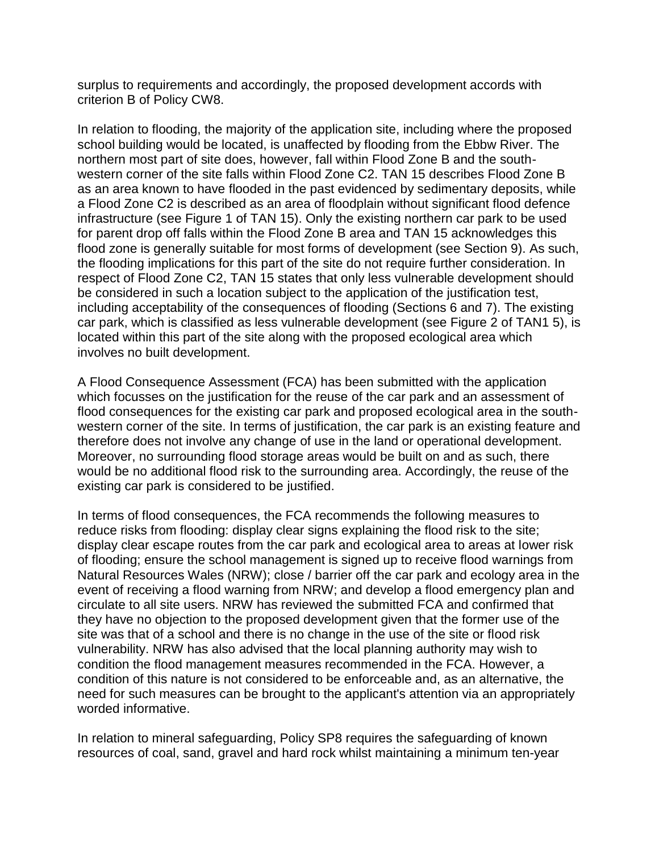surplus to requirements and accordingly, the proposed development accords with criterion B of Policy CW8.

In relation to flooding, the majority of the application site, including where the proposed school building would be located, is unaffected by flooding from the Ebbw River. The northern most part of site does, however, fall within Flood Zone B and the southwestern corner of the site falls within Flood Zone C2. TAN 15 describes Flood Zone B as an area known to have flooded in the past evidenced by sedimentary deposits, while a Flood Zone C2 is described as an area of floodplain without significant flood defence infrastructure (see Figure 1 of TAN 15). Only the existing northern car park to be used for parent drop off falls within the Flood Zone B area and TAN 15 acknowledges this flood zone is generally suitable for most forms of development (see Section 9). As such, the flooding implications for this part of the site do not require further consideration. In respect of Flood Zone C2, TAN 15 states that only less vulnerable development should be considered in such a location subject to the application of the justification test, including acceptability of the consequences of flooding (Sections 6 and 7). The existing car park, which is classified as less vulnerable development (see Figure 2 of TAN1 5), is located within this part of the site along with the proposed ecological area which involves no built development.

A Flood Consequence Assessment (FCA) has been submitted with the application which focusses on the justification for the reuse of the car park and an assessment of flood consequences for the existing car park and proposed ecological area in the southwestern corner of the site. In terms of justification, the car park is an existing feature and therefore does not involve any change of use in the land or operational development. Moreover, no surrounding flood storage areas would be built on and as such, there would be no additional flood risk to the surrounding area. Accordingly, the reuse of the existing car park is considered to be justified.

In terms of flood consequences, the FCA recommends the following measures to reduce risks from flooding: display clear signs explaining the flood risk to the site; display clear escape routes from the car park and ecological area to areas at lower risk of flooding; ensure the school management is signed up to receive flood warnings from Natural Resources Wales (NRW); close / barrier off the car park and ecology area in the event of receiving a flood warning from NRW; and develop a flood emergency plan and circulate to all site users. NRW has reviewed the submitted FCA and confirmed that they have no objection to the proposed development given that the former use of the site was that of a school and there is no change in the use of the site or flood risk vulnerability. NRW has also advised that the local planning authority may wish to condition the flood management measures recommended in the FCA. However, a condition of this nature is not considered to be enforceable and, as an alternative, the need for such measures can be brought to the applicant's attention via an appropriately worded informative.

In relation to mineral safeguarding, Policy SP8 requires the safeguarding of known resources of coal, sand, gravel and hard rock whilst maintaining a minimum ten-year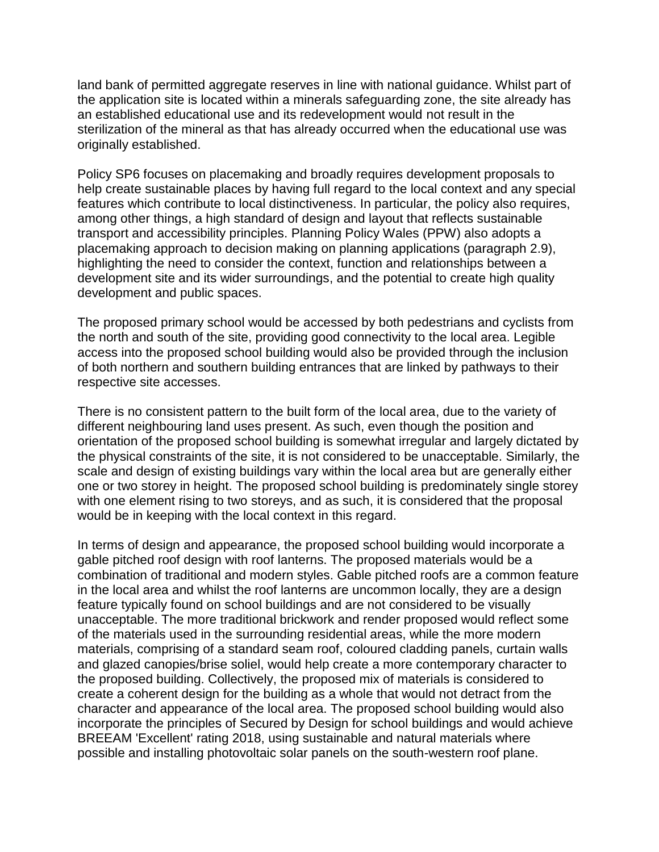land bank of permitted aggregate reserves in line with national guidance. Whilst part of the application site is located within a minerals safeguarding zone, the site already has an established educational use and its redevelopment would not result in the sterilization of the mineral as that has already occurred when the educational use was originally established.

Policy SP6 focuses on placemaking and broadly requires development proposals to help create sustainable places by having full regard to the local context and any special features which contribute to local distinctiveness. In particular, the policy also requires, among other things, a high standard of design and layout that reflects sustainable transport and accessibility principles. Planning Policy Wales (PPW) also adopts a placemaking approach to decision making on planning applications (paragraph 2.9), highlighting the need to consider the context, function and relationships between a development site and its wider surroundings, and the potential to create high quality development and public spaces.

The proposed primary school would be accessed by both pedestrians and cyclists from the north and south of the site, providing good connectivity to the local area. Legible access into the proposed school building would also be provided through the inclusion of both northern and southern building entrances that are linked by pathways to their respective site accesses.

There is no consistent pattern to the built form of the local area, due to the variety of different neighbouring land uses present. As such, even though the position and orientation of the proposed school building is somewhat irregular and largely dictated by the physical constraints of the site, it is not considered to be unacceptable. Similarly, the scale and design of existing buildings vary within the local area but are generally either one or two storey in height. The proposed school building is predominately single storey with one element rising to two storeys, and as such, it is considered that the proposal would be in keeping with the local context in this regard.

In terms of design and appearance, the proposed school building would incorporate a gable pitched roof design with roof lanterns. The proposed materials would be a combination of traditional and modern styles. Gable pitched roofs are a common feature in the local area and whilst the roof lanterns are uncommon locally, they are a design feature typically found on school buildings and are not considered to be visually unacceptable. The more traditional brickwork and render proposed would reflect some of the materials used in the surrounding residential areas, while the more modern materials, comprising of a standard seam roof, coloured cladding panels, curtain walls and glazed canopies/brise soliel, would help create a more contemporary character to the proposed building. Collectively, the proposed mix of materials is considered to create a coherent design for the building as a whole that would not detract from the character and appearance of the local area. The proposed school building would also incorporate the principles of Secured by Design for school buildings and would achieve BREEAM 'Excellent' rating 2018, using sustainable and natural materials where possible and installing photovoltaic solar panels on the south-western roof plane.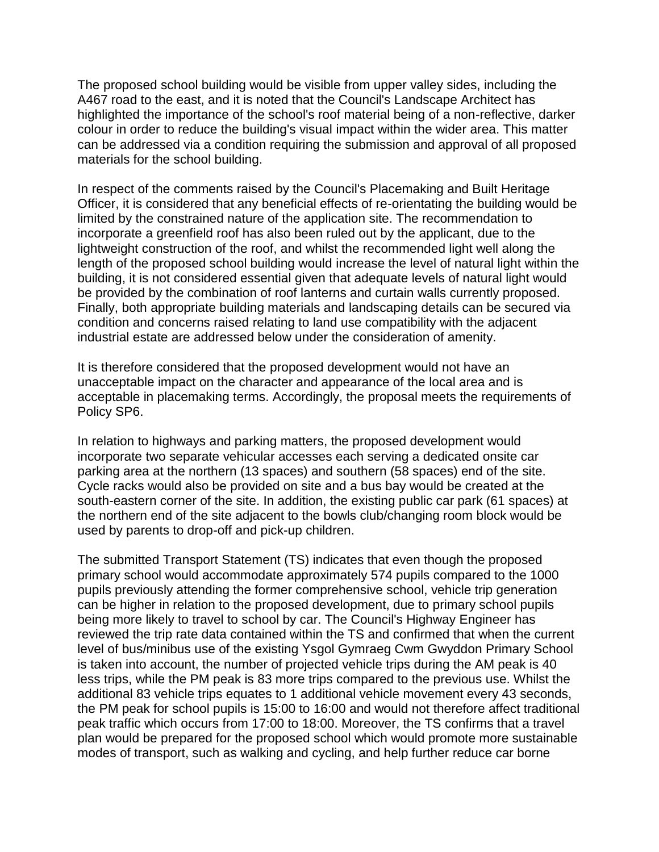The proposed school building would be visible from upper valley sides, including the A467 road to the east, and it is noted that the Council's Landscape Architect has highlighted the importance of the school's roof material being of a non-reflective, darker colour in order to reduce the building's visual impact within the wider area. This matter can be addressed via a condition requiring the submission and approval of all proposed materials for the school building.

In respect of the comments raised by the Council's Placemaking and Built Heritage Officer, it is considered that any beneficial effects of re-orientating the building would be limited by the constrained nature of the application site. The recommendation to incorporate a greenfield roof has also been ruled out by the applicant, due to the lightweight construction of the roof, and whilst the recommended light well along the length of the proposed school building would increase the level of natural light within the building, it is not considered essential given that adequate levels of natural light would be provided by the combination of roof lanterns and curtain walls currently proposed. Finally, both appropriate building materials and landscaping details can be secured via condition and concerns raised relating to land use compatibility with the adjacent industrial estate are addressed below under the consideration of amenity.

It is therefore considered that the proposed development would not have an unacceptable impact on the character and appearance of the local area and is acceptable in placemaking terms. Accordingly, the proposal meets the requirements of Policy SP6.

In relation to highways and parking matters, the proposed development would incorporate two separate vehicular accesses each serving a dedicated onsite car parking area at the northern (13 spaces) and southern (58 spaces) end of the site. Cycle racks would also be provided on site and a bus bay would be created at the south-eastern corner of the site. In addition, the existing public car park (61 spaces) at the northern end of the site adjacent to the bowls club/changing room block would be used by parents to drop-off and pick-up children.

The submitted Transport Statement (TS) indicates that even though the proposed primary school would accommodate approximately 574 pupils compared to the 1000 pupils previously attending the former comprehensive school, vehicle trip generation can be higher in relation to the proposed development, due to primary school pupils being more likely to travel to school by car. The Council's Highway Engineer has reviewed the trip rate data contained within the TS and confirmed that when the current level of bus/minibus use of the existing Ysgol Gymraeg Cwm Gwyddon Primary School is taken into account, the number of projected vehicle trips during the AM peak is 40 less trips, while the PM peak is 83 more trips compared to the previous use. Whilst the additional 83 vehicle trips equates to 1 additional vehicle movement every 43 seconds, the PM peak for school pupils is 15:00 to 16:00 and would not therefore affect traditional peak traffic which occurs from 17:00 to 18:00. Moreover, the TS confirms that a travel plan would be prepared for the proposed school which would promote more sustainable modes of transport, such as walking and cycling, and help further reduce car borne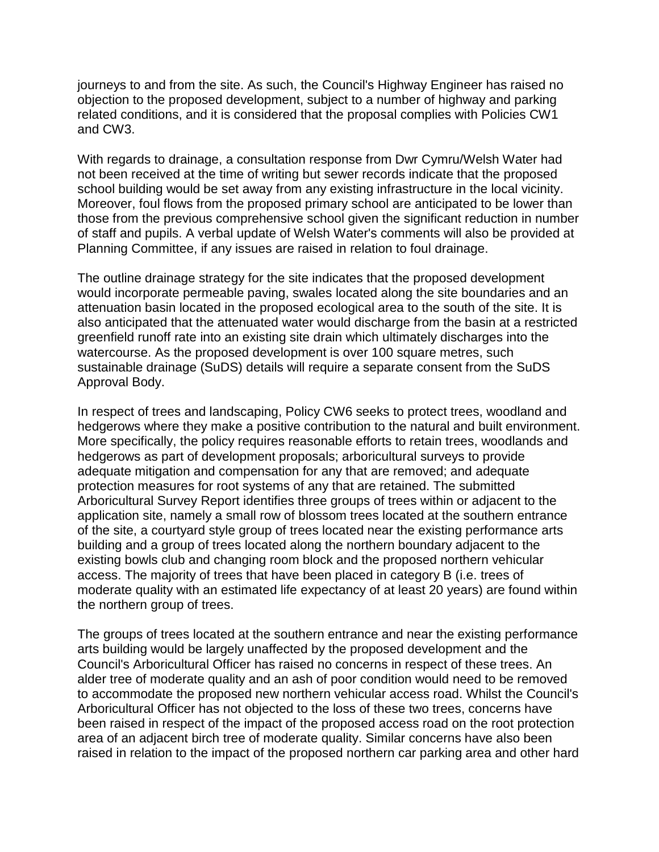journeys to and from the site. As such, the Council's Highway Engineer has raised no objection to the proposed development, subject to a number of highway and parking related conditions, and it is considered that the proposal complies with Policies CW1 and CW3.

With regards to drainage, a consultation response from Dwr Cymru/Welsh Water had not been received at the time of writing but sewer records indicate that the proposed school building would be set away from any existing infrastructure in the local vicinity. Moreover, foul flows from the proposed primary school are anticipated to be lower than those from the previous comprehensive school given the significant reduction in number of staff and pupils. A verbal update of Welsh Water's comments will also be provided at Planning Committee, if any issues are raised in relation to foul drainage.

The outline drainage strategy for the site indicates that the proposed development would incorporate permeable paving, swales located along the site boundaries and an attenuation basin located in the proposed ecological area to the south of the site. It is also anticipated that the attenuated water would discharge from the basin at a restricted greenfield runoff rate into an existing site drain which ultimately discharges into the watercourse. As the proposed development is over 100 square metres, such sustainable drainage (SuDS) details will require a separate consent from the SuDS Approval Body.

In respect of trees and landscaping, Policy CW6 seeks to protect trees, woodland and hedgerows where they make a positive contribution to the natural and built environment. More specifically, the policy requires reasonable efforts to retain trees, woodlands and hedgerows as part of development proposals; arboricultural surveys to provide adequate mitigation and compensation for any that are removed; and adequate protection measures for root systems of any that are retained. The submitted Arboricultural Survey Report identifies three groups of trees within or adjacent to the application site, namely a small row of blossom trees located at the southern entrance of the site, a courtyard style group of trees located near the existing performance arts building and a group of trees located along the northern boundary adjacent to the existing bowls club and changing room block and the proposed northern vehicular access. The majority of trees that have been placed in category B (i.e. trees of moderate quality with an estimated life expectancy of at least 20 years) are found within the northern group of trees.

The groups of trees located at the southern entrance and near the existing performance arts building would be largely unaffected by the proposed development and the Council's Arboricultural Officer has raised no concerns in respect of these trees. An alder tree of moderate quality and an ash of poor condition would need to be removed to accommodate the proposed new northern vehicular access road. Whilst the Council's Arboricultural Officer has not objected to the loss of these two trees, concerns have been raised in respect of the impact of the proposed access road on the root protection area of an adjacent birch tree of moderate quality. Similar concerns have also been raised in relation to the impact of the proposed northern car parking area and other hard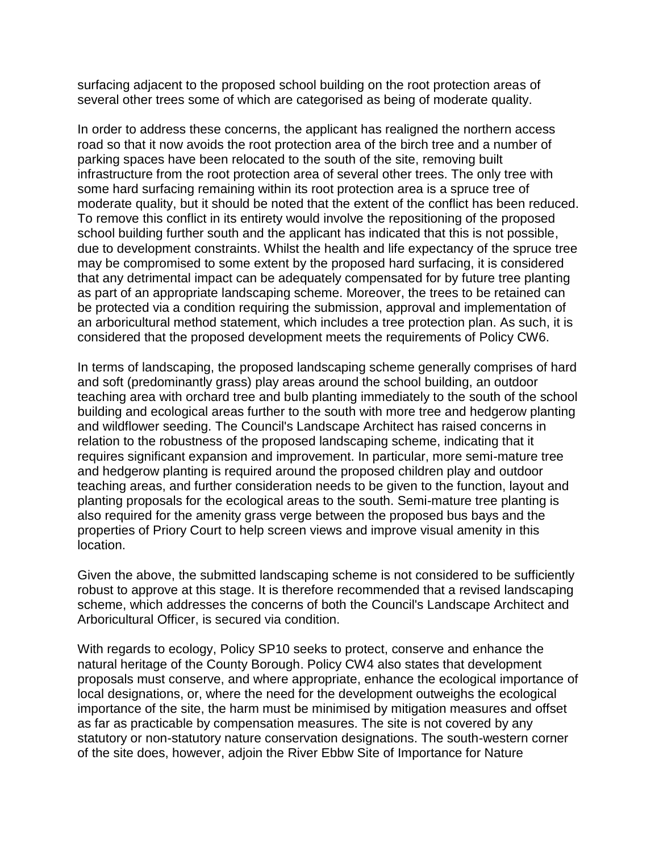surfacing adjacent to the proposed school building on the root protection areas of several other trees some of which are categorised as being of moderate quality.

In order to address these concerns, the applicant has realigned the northern access road so that it now avoids the root protection area of the birch tree and a number of parking spaces have been relocated to the south of the site, removing built infrastructure from the root protection area of several other trees. The only tree with some hard surfacing remaining within its root protection area is a spruce tree of moderate quality, but it should be noted that the extent of the conflict has been reduced. To remove this conflict in its entirety would involve the repositioning of the proposed school building further south and the applicant has indicated that this is not possible, due to development constraints. Whilst the health and life expectancy of the spruce tree may be compromised to some extent by the proposed hard surfacing, it is considered that any detrimental impact can be adequately compensated for by future tree planting as part of an appropriate landscaping scheme. Moreover, the trees to be retained can be protected via a condition requiring the submission, approval and implementation of an arboricultural method statement, which includes a tree protection plan. As such, it is considered that the proposed development meets the requirements of Policy CW6.

In terms of landscaping, the proposed landscaping scheme generally comprises of hard and soft (predominantly grass) play areas around the school building, an outdoor teaching area with orchard tree and bulb planting immediately to the south of the school building and ecological areas further to the south with more tree and hedgerow planting and wildflower seeding. The Council's Landscape Architect has raised concerns in relation to the robustness of the proposed landscaping scheme, indicating that it requires significant expansion and improvement. In particular, more semi-mature tree and hedgerow planting is required around the proposed children play and outdoor teaching areas, and further consideration needs to be given to the function, layout and planting proposals for the ecological areas to the south. Semi-mature tree planting is also required for the amenity grass verge between the proposed bus bays and the properties of Priory Court to help screen views and improve visual amenity in this location.

Given the above, the submitted landscaping scheme is not considered to be sufficiently robust to approve at this stage. It is therefore recommended that a revised landscaping scheme, which addresses the concerns of both the Council's Landscape Architect and Arboricultural Officer, is secured via condition.

With regards to ecology, Policy SP10 seeks to protect, conserve and enhance the natural heritage of the County Borough. Policy CW4 also states that development proposals must conserve, and where appropriate, enhance the ecological importance of local designations, or, where the need for the development outweighs the ecological importance of the site, the harm must be minimised by mitigation measures and offset as far as practicable by compensation measures. The site is not covered by any statutory or non-statutory nature conservation designations. The south-western corner of the site does, however, adjoin the River Ebbw Site of Importance for Nature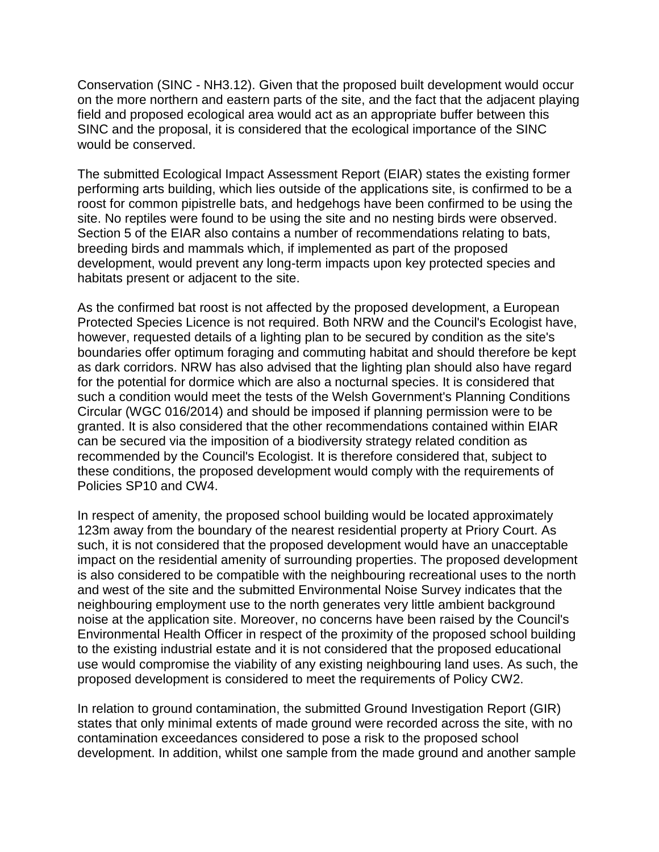Conservation (SINC - NH3.12). Given that the proposed built development would occur on the more northern and eastern parts of the site, and the fact that the adjacent playing field and proposed ecological area would act as an appropriate buffer between this SINC and the proposal, it is considered that the ecological importance of the SINC would be conserved.

The submitted Ecological Impact Assessment Report (EIAR) states the existing former performing arts building, which lies outside of the applications site, is confirmed to be a roost for common pipistrelle bats, and hedgehogs have been confirmed to be using the site. No reptiles were found to be using the site and no nesting birds were observed. Section 5 of the EIAR also contains a number of recommendations relating to bats, breeding birds and mammals which, if implemented as part of the proposed development, would prevent any long-term impacts upon key protected species and habitats present or adjacent to the site.

As the confirmed bat roost is not affected by the proposed development, a European Protected Species Licence is not required. Both NRW and the Council's Ecologist have, however, requested details of a lighting plan to be secured by condition as the site's boundaries offer optimum foraging and commuting habitat and should therefore be kept as dark corridors. NRW has also advised that the lighting plan should also have regard for the potential for dormice which are also a nocturnal species. It is considered that such a condition would meet the tests of the Welsh Government's Planning Conditions Circular (WGC 016/2014) and should be imposed if planning permission were to be granted. It is also considered that the other recommendations contained within EIAR can be secured via the imposition of a biodiversity strategy related condition as recommended by the Council's Ecologist. It is therefore considered that, subject to these conditions, the proposed development would comply with the requirements of Policies SP10 and CW4.

In respect of amenity, the proposed school building would be located approximately 123m away from the boundary of the nearest residential property at Priory Court. As such, it is not considered that the proposed development would have an unacceptable impact on the residential amenity of surrounding properties. The proposed development is also considered to be compatible with the neighbouring recreational uses to the north and west of the site and the submitted Environmental Noise Survey indicates that the neighbouring employment use to the north generates very little ambient background noise at the application site. Moreover, no concerns have been raised by the Council's Environmental Health Officer in respect of the proximity of the proposed school building to the existing industrial estate and it is not considered that the proposed educational use would compromise the viability of any existing neighbouring land uses. As such, the proposed development is considered to meet the requirements of Policy CW2.

In relation to ground contamination, the submitted Ground Investigation Report (GIR) states that only minimal extents of made ground were recorded across the site, with no contamination exceedances considered to pose a risk to the proposed school development. In addition, whilst one sample from the made ground and another sample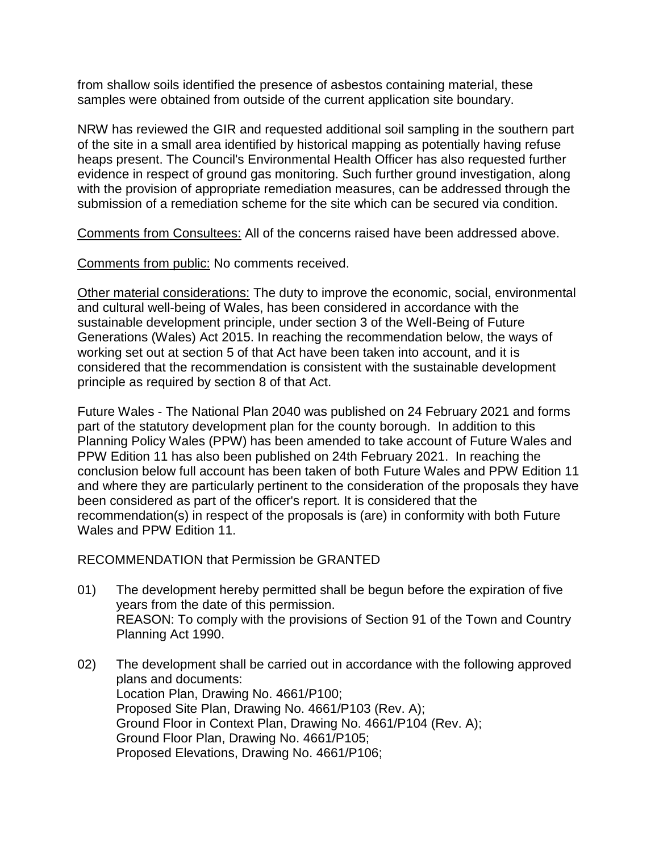from shallow soils identified the presence of asbestos containing material, these samples were obtained from outside of the current application site boundary.

NRW has reviewed the GIR and requested additional soil sampling in the southern part of the site in a small area identified by historical mapping as potentially having refuse heaps present. The Council's Environmental Health Officer has also requested further evidence in respect of ground gas monitoring. Such further ground investigation, along with the provision of appropriate remediation measures, can be addressed through the submission of a remediation scheme for the site which can be secured via condition.

Comments from Consultees: All of the concerns raised have been addressed above.

Comments from public: No comments received.

Other material considerations: The duty to improve the economic, social, environmental and cultural well-being of Wales, has been considered in accordance with the sustainable development principle, under section 3 of the Well-Being of Future Generations (Wales) Act 2015. In reaching the recommendation below, the ways of working set out at section 5 of that Act have been taken into account, and it is considered that the recommendation is consistent with the sustainable development principle as required by section 8 of that Act.

Future Wales - The National Plan 2040 was published on 24 February 2021 and forms part of the statutory development plan for the county borough. In addition to this Planning Policy Wales (PPW) has been amended to take account of Future Wales and PPW Edition 11 has also been published on 24th February 2021. In reaching the conclusion below full account has been taken of both Future Wales and PPW Edition 11 and where they are particularly pertinent to the consideration of the proposals they have been considered as part of the officer's report. It is considered that the recommendation(s) in respect of the proposals is (are) in conformity with both Future Wales and PPW Edition 11.

RECOMMENDATION that Permission be GRANTED

- 01) The development hereby permitted shall be begun before the expiration of five years from the date of this permission. REASON: To comply with the provisions of Section 91 of the Town and Country Planning Act 1990.
- 02) The development shall be carried out in accordance with the following approved plans and documents: Location Plan, Drawing No. 4661/P100; Proposed Site Plan, Drawing No. 4661/P103 (Rev. A); Ground Floor in Context Plan, Drawing No. 4661/P104 (Rev. A); Ground Floor Plan, Drawing No. 4661/P105; Proposed Elevations, Drawing No. 4661/P106;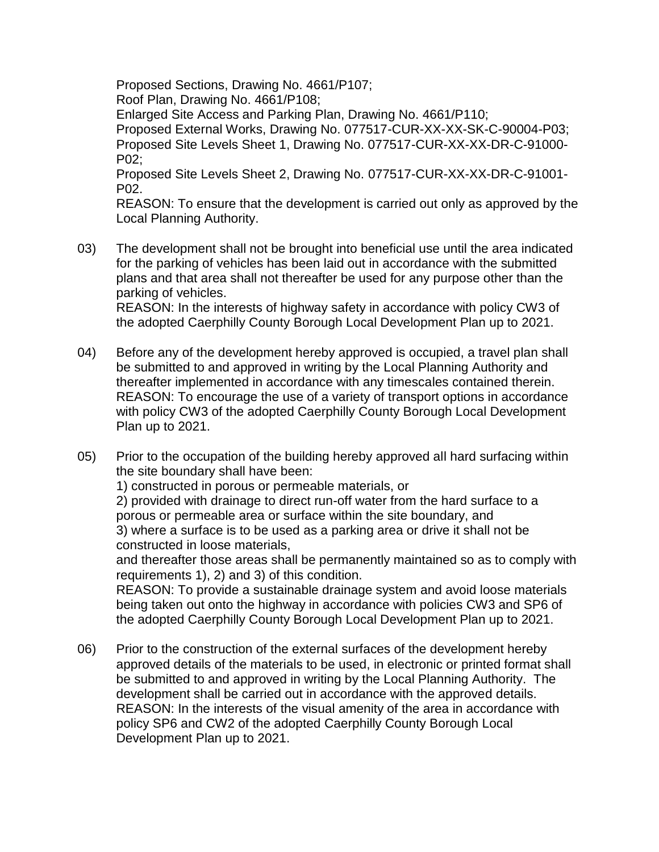Proposed Sections, Drawing No. 4661/P107; Roof Plan, Drawing No. 4661/P108; Enlarged Site Access and Parking Plan, Drawing No. 4661/P110; Proposed External Works, Drawing No. 077517-CUR-XX-XX-SK-C-90004-P03; Proposed Site Levels Sheet 1, Drawing No. 077517-CUR-XX-XX-DR-C-91000- P02; Proposed Site Levels Sheet 2, Drawing No. 077517-CUR-XX-XX-DR-C-91001- P02.

REASON: To ensure that the development is carried out only as approved by the Local Planning Authority.

03) The development shall not be brought into beneficial use until the area indicated for the parking of vehicles has been laid out in accordance with the submitted plans and that area shall not thereafter be used for any purpose other than the parking of vehicles. REASON: In the interests of highway safety in accordance with policy CW3 of

the adopted Caerphilly County Borough Local Development Plan up to 2021.

- 04) Before any of the development hereby approved is occupied, a travel plan shall be submitted to and approved in writing by the Local Planning Authority and thereafter implemented in accordance with any timescales contained therein. REASON: To encourage the use of a variety of transport options in accordance with policy CW3 of the adopted Caerphilly County Borough Local Development Plan up to 2021.
- 05) Prior to the occupation of the building hereby approved all hard surfacing within the site boundary shall have been:

1) constructed in porous or permeable materials, or

2) provided with drainage to direct run-off water from the hard surface to a porous or permeable area or surface within the site boundary, and 3) where a surface is to be used as a parking area or drive it shall not be constructed in loose materials,

and thereafter those areas shall be permanently maintained so as to comply with requirements 1), 2) and 3) of this condition.

REASON: To provide a sustainable drainage system and avoid loose materials being taken out onto the highway in accordance with policies CW3 and SP6 of the adopted Caerphilly County Borough Local Development Plan up to 2021.

06) Prior to the construction of the external surfaces of the development hereby approved details of the materials to be used, in electronic or printed format shall be submitted to and approved in writing by the Local Planning Authority. The development shall be carried out in accordance with the approved details. REASON: In the interests of the visual amenity of the area in accordance with policy SP6 and CW2 of the adopted Caerphilly County Borough Local Development Plan up to 2021.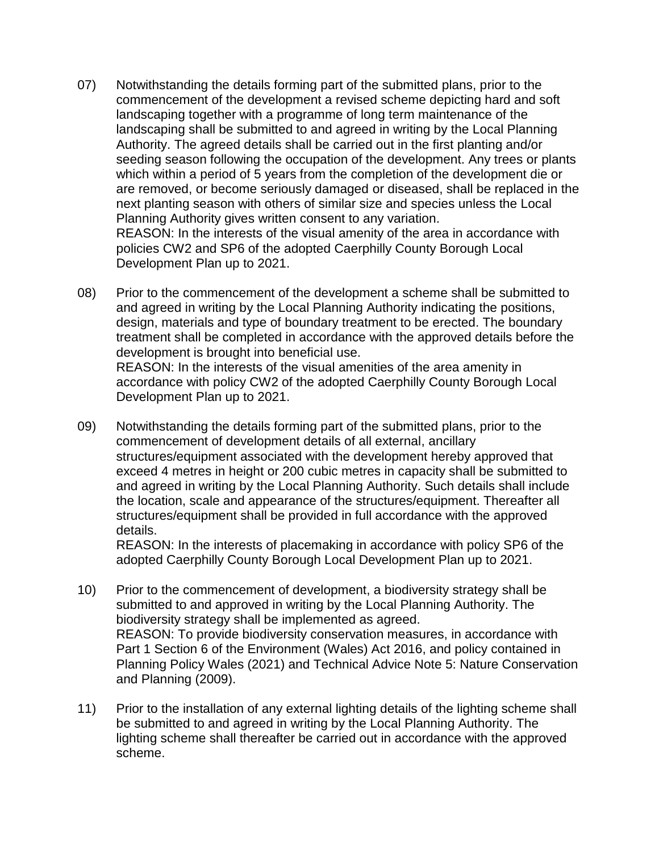- 07) Notwithstanding the details forming part of the submitted plans, prior to the commencement of the development a revised scheme depicting hard and soft landscaping together with a programme of long term maintenance of the landscaping shall be submitted to and agreed in writing by the Local Planning Authority. The agreed details shall be carried out in the first planting and/or seeding season following the occupation of the development. Any trees or plants which within a period of 5 years from the completion of the development die or are removed, or become seriously damaged or diseased, shall be replaced in the next planting season with others of similar size and species unless the Local Planning Authority gives written consent to any variation. REASON: In the interests of the visual amenity of the area in accordance with policies CW2 and SP6 of the adopted Caerphilly County Borough Local Development Plan up to 2021.
- 08) Prior to the commencement of the development a scheme shall be submitted to and agreed in writing by the Local Planning Authority indicating the positions, design, materials and type of boundary treatment to be erected. The boundary treatment shall be completed in accordance with the approved details before the development is brought into beneficial use. REASON: In the interests of the visual amenities of the area amenity in accordance with policy CW2 of the adopted Caerphilly County Borough Local Development Plan up to 2021.
- 09) Notwithstanding the details forming part of the submitted plans, prior to the commencement of development details of all external, ancillary structures/equipment associated with the development hereby approved that exceed 4 metres in height or 200 cubic metres in capacity shall be submitted to and agreed in writing by the Local Planning Authority. Such details shall include the location, scale and appearance of the structures/equipment. Thereafter all structures/equipment shall be provided in full accordance with the approved details.

REASON: In the interests of placemaking in accordance with policy SP6 of the adopted Caerphilly County Borough Local Development Plan up to 2021.

- 10) Prior to the commencement of development, a biodiversity strategy shall be submitted to and approved in writing by the Local Planning Authority. The biodiversity strategy shall be implemented as agreed. REASON: To provide biodiversity conservation measures, in accordance with Part 1 Section 6 of the Environment (Wales) Act 2016, and policy contained in Planning Policy Wales (2021) and Technical Advice Note 5: Nature Conservation and Planning (2009).
- 11) Prior to the installation of any external lighting details of the lighting scheme shall be submitted to and agreed in writing by the Local Planning Authority. The lighting scheme shall thereafter be carried out in accordance with the approved scheme.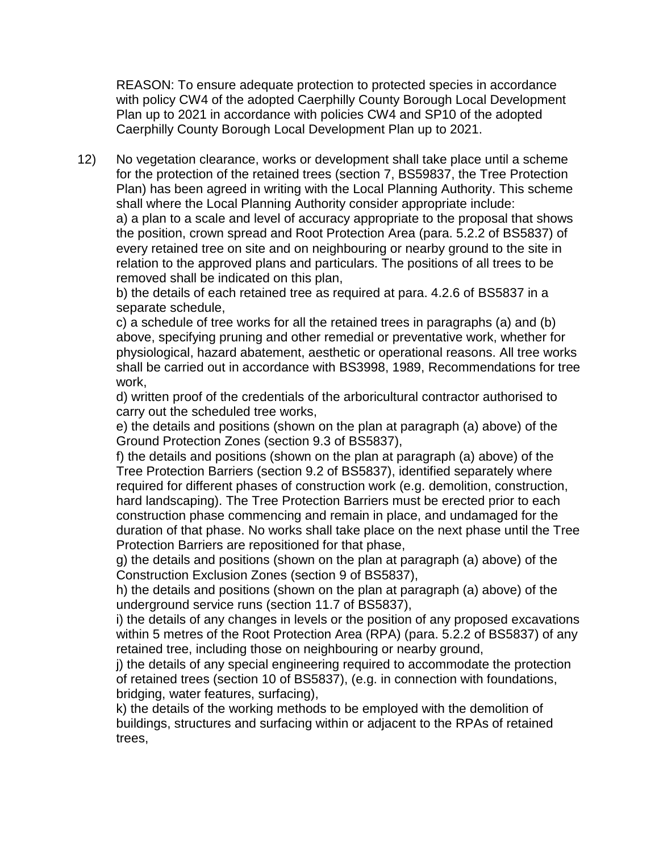REASON: To ensure adequate protection to protected species in accordance with policy CW4 of the adopted Caerphilly County Borough Local Development Plan up to 2021 in accordance with policies CW4 and SP10 of the adopted Caerphilly County Borough Local Development Plan up to 2021.

12) No vegetation clearance, works or development shall take place until a scheme for the protection of the retained trees (section 7, BS59837, the Tree Protection Plan) has been agreed in writing with the Local Planning Authority. This scheme shall where the Local Planning Authority consider appropriate include: a) a plan to a scale and level of accuracy appropriate to the proposal that shows the position, crown spread and Root Protection Area (para. 5.2.2 of BS5837) of every retained tree on site and on neighbouring or nearby ground to the site in relation to the approved plans and particulars. The positions of all trees to be removed shall be indicated on this plan,

b) the details of each retained tree as required at para. 4.2.6 of BS5837 in a separate schedule,

c) a schedule of tree works for all the retained trees in paragraphs (a) and (b) above, specifying pruning and other remedial or preventative work, whether for physiological, hazard abatement, aesthetic or operational reasons. All tree works shall be carried out in accordance with BS3998, 1989, Recommendations for tree work,

d) written proof of the credentials of the arboricultural contractor authorised to carry out the scheduled tree works,

e) the details and positions (shown on the plan at paragraph (a) above) of the Ground Protection Zones (section 9.3 of BS5837),

f) the details and positions (shown on the plan at paragraph (a) above) of the Tree Protection Barriers (section 9.2 of BS5837), identified separately where required for different phases of construction work (e.g. demolition, construction, hard landscaping). The Tree Protection Barriers must be erected prior to each construction phase commencing and remain in place, and undamaged for the duration of that phase. No works shall take place on the next phase until the Tree Protection Barriers are repositioned for that phase,

g) the details and positions (shown on the plan at paragraph (a) above) of the Construction Exclusion Zones (section 9 of BS5837),

h) the details and positions (shown on the plan at paragraph (a) above) of the underground service runs (section 11.7 of BS5837),

i) the details of any changes in levels or the position of any proposed excavations within 5 metres of the Root Protection Area (RPA) (para. 5.2.2 of BS5837) of any retained tree, including those on neighbouring or nearby ground,

j) the details of any special engineering required to accommodate the protection of retained trees (section 10 of BS5837), (e.g. in connection with foundations, bridging, water features, surfacing),

k) the details of the working methods to be employed with the demolition of buildings, structures and surfacing within or adjacent to the RPAs of retained trees,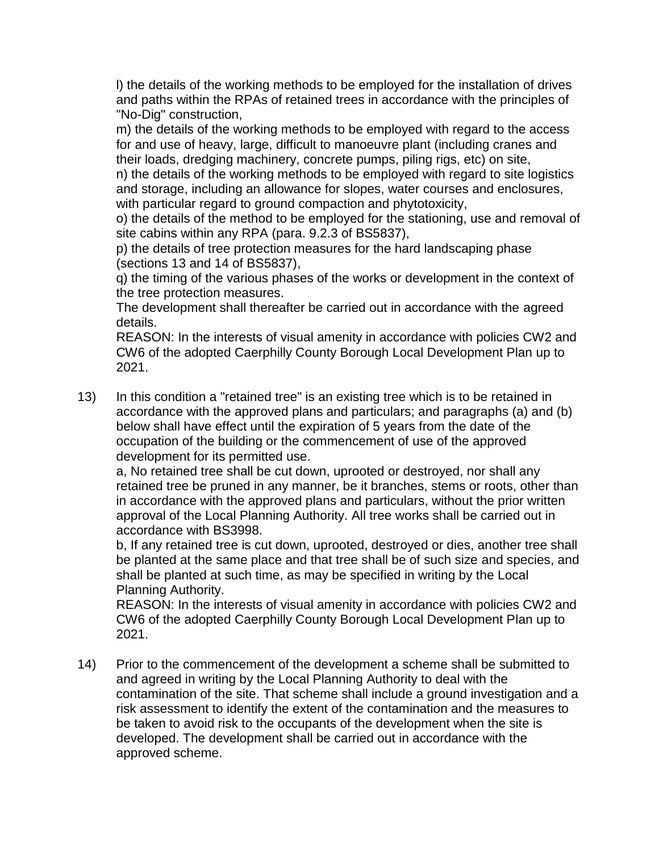l) the details of the working methods to be employed for the installation of drives and paths within the RPAs of retained trees in accordance with the principles of "No-Dig" construction,

m) the details of the working methods to be employed with regard to the access for and use of heavy, large, difficult to manoeuvre plant (including cranes and their loads, dredging machinery, concrete pumps, piling rigs, etc) on site,

n) the details of the working methods to be employed with regard to site logistics and storage, including an allowance for slopes, water courses and enclosures, with particular regard to ground compaction and phytotoxicity,

o) the details of the method to be employed for the stationing, use and removal of site cabins within any RPA (para. 9.2.3 of BS5837),

p) the details of tree protection measures for the hard landscaping phase (sections 13 and 14 of BS5837),

q) the timing of the various phases of the works or development in the context of the tree protection measures.

The development shall thereafter be carried out in accordance with the agreed details.

REASON: In the interests of visual amenity in accordance with policies CW2 and CW6 of the adopted Caerphilly County Borough Local Development Plan up to 2021.

13) In this condition a "retained tree" is an existing tree which is to be retained in accordance with the approved plans and particulars; and paragraphs (a) and (b) below shall have effect until the expiration of 5 years from the date of the occupation of the building or the commencement of use of the approved development for its permitted use.

a, No retained tree shall be cut down, uprooted or destroyed, nor shall any retained tree be pruned in any manner, be it branches, stems or roots, other than in accordance with the approved plans and particulars, without the prior written approval of the Local Planning Authority. All tree works shall be carried out in accordance with BS3998.

b, If any retained tree is cut down, uprooted, destroyed or dies, another tree shall be planted at the same place and that tree shall be of such size and species, and shall be planted at such time, as may be specified in writing by the Local Planning Authority.

REASON: In the interests of visual amenity in accordance with policies CW2 and CW6 of the adopted Caerphilly County Borough Local Development Plan up to 2021.

14) Prior to the commencement of the development a scheme shall be submitted to and agreed in writing by the Local Planning Authority to deal with the contamination of the site. That scheme shall include a ground investigation and a risk assessment to identify the extent of the contamination and the measures to be taken to avoid risk to the occupants of the development when the site is developed. The development shall be carried out in accordance with the approved scheme.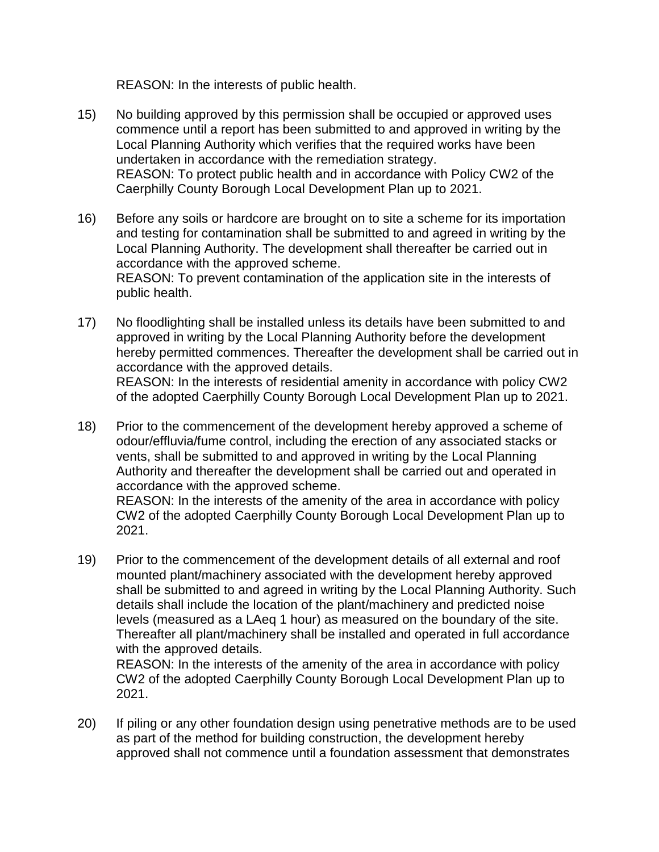REASON: In the interests of public health.

- 15) No building approved by this permission shall be occupied or approved uses commence until a report has been submitted to and approved in writing by the Local Planning Authority which verifies that the required works have been undertaken in accordance with the remediation strategy. REASON: To protect public health and in accordance with Policy CW2 of the Caerphilly County Borough Local Development Plan up to 2021.
- 16) Before any soils or hardcore are brought on to site a scheme for its importation and testing for contamination shall be submitted to and agreed in writing by the Local Planning Authority. The development shall thereafter be carried out in accordance with the approved scheme. REASON: To prevent contamination of the application site in the interests of public health.
- 17) No floodlighting shall be installed unless its details have been submitted to and approved in writing by the Local Planning Authority before the development hereby permitted commences. Thereafter the development shall be carried out in accordance with the approved details. REASON: In the interests of residential amenity in accordance with policy CW2 of the adopted Caerphilly County Borough Local Development Plan up to 2021.
- 18) Prior to the commencement of the development hereby approved a scheme of odour/effluvia/fume control, including the erection of any associated stacks or vents, shall be submitted to and approved in writing by the Local Planning Authority and thereafter the development shall be carried out and operated in accordance with the approved scheme.

REASON: In the interests of the amenity of the area in accordance with policy CW2 of the adopted Caerphilly County Borough Local Development Plan up to 2021.

19) Prior to the commencement of the development details of all external and roof mounted plant/machinery associated with the development hereby approved shall be submitted to and agreed in writing by the Local Planning Authority. Such details shall include the location of the plant/machinery and predicted noise levels (measured as a LAeq 1 hour) as measured on the boundary of the site. Thereafter all plant/machinery shall be installed and operated in full accordance with the approved details.

REASON: In the interests of the amenity of the area in accordance with policy CW2 of the adopted Caerphilly County Borough Local Development Plan up to 2021.

20) If piling or any other foundation design using penetrative methods are to be used as part of the method for building construction, the development hereby approved shall not commence until a foundation assessment that demonstrates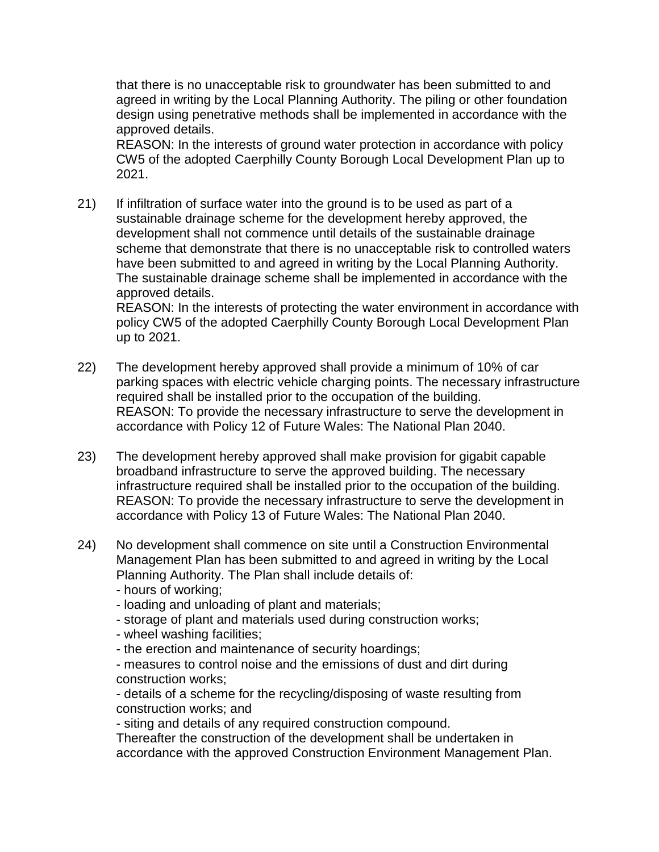that there is no unacceptable risk to groundwater has been submitted to and agreed in writing by the Local Planning Authority. The piling or other foundation design using penetrative methods shall be implemented in accordance with the approved details.

REASON: In the interests of ground water protection in accordance with policy CW5 of the adopted Caerphilly County Borough Local Development Plan up to 2021.

21) If infiltration of surface water into the ground is to be used as part of a sustainable drainage scheme for the development hereby approved, the development shall not commence until details of the sustainable drainage scheme that demonstrate that there is no unacceptable risk to controlled waters have been submitted to and agreed in writing by the Local Planning Authority. The sustainable drainage scheme shall be implemented in accordance with the approved details.

REASON: In the interests of protecting the water environment in accordance with policy CW5 of the adopted Caerphilly County Borough Local Development Plan up to 2021.

- 22) The development hereby approved shall provide a minimum of 10% of car parking spaces with electric vehicle charging points. The necessary infrastructure required shall be installed prior to the occupation of the building. REASON: To provide the necessary infrastructure to serve the development in accordance with Policy 12 of Future Wales: The National Plan 2040.
- 23) The development hereby approved shall make provision for gigabit capable broadband infrastructure to serve the approved building. The necessary infrastructure required shall be installed prior to the occupation of the building. REASON: To provide the necessary infrastructure to serve the development in accordance with Policy 13 of Future Wales: The National Plan 2040.
- 24) No development shall commence on site until a Construction Environmental Management Plan has been submitted to and agreed in writing by the Local Planning Authority. The Plan shall include details of:
	- hours of working;
	- loading and unloading of plant and materials;
	- storage of plant and materials used during construction works;
	- wheel washing facilities;
	- the erection and maintenance of security hoardings;
	- measures to control noise and the emissions of dust and dirt during construction works;

- details of a scheme for the recycling/disposing of waste resulting from construction works; and

- siting and details of any required construction compound.

Thereafter the construction of the development shall be undertaken in accordance with the approved Construction Environment Management Plan.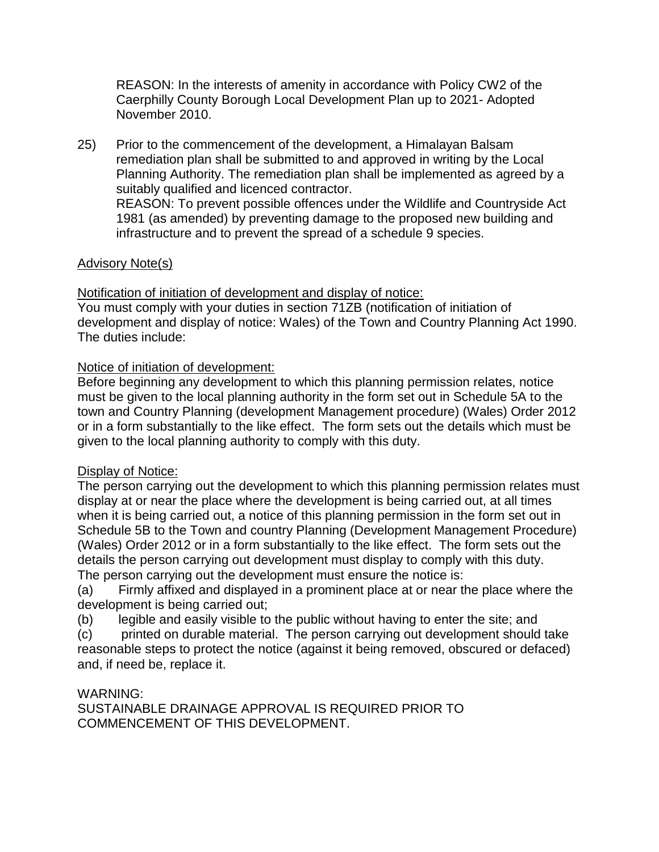REASON: In the interests of amenity in accordance with Policy CW2 of the Caerphilly County Borough Local Development Plan up to 2021- Adopted November 2010.

25) Prior to the commencement of the development, a Himalayan Balsam remediation plan shall be submitted to and approved in writing by the Local Planning Authority. The remediation plan shall be implemented as agreed by a suitably qualified and licenced contractor. REASON: To prevent possible offences under the Wildlife and Countryside Act 1981 (as amended) by preventing damage to the proposed new building and infrastructure and to prevent the spread of a schedule 9 species.

# Advisory Note(s)

Notification of initiation of development and display of notice:

You must comply with your duties in section 71ZB (notification of initiation of development and display of notice: Wales) of the Town and Country Planning Act 1990. The duties include:

# Notice of initiation of development:

Before beginning any development to which this planning permission relates, notice must be given to the local planning authority in the form set out in Schedule 5A to the town and Country Planning (development Management procedure) (Wales) Order 2012 or in a form substantially to the like effect. The form sets out the details which must be given to the local planning authority to comply with this duty.

## Display of Notice:

The person carrying out the development to which this planning permission relates must display at or near the place where the development is being carried out, at all times when it is being carried out, a notice of this planning permission in the form set out in Schedule 5B to the Town and country Planning (Development Management Procedure) (Wales) Order 2012 or in a form substantially to the like effect. The form sets out the details the person carrying out development must display to comply with this duty. The person carrying out the development must ensure the notice is:

(a) Firmly affixed and displayed in a prominent place at or near the place where the development is being carried out;

(b) legible and easily visible to the public without having to enter the site; and

(c) printed on durable material. The person carrying out development should take reasonable steps to protect the notice (against it being removed, obscured or defaced) and, if need be, replace it.

## WARNING:

SUSTAINABLE DRAINAGE APPROVAL IS REQUIRED PRIOR TO COMMENCEMENT OF THIS DEVELOPMENT.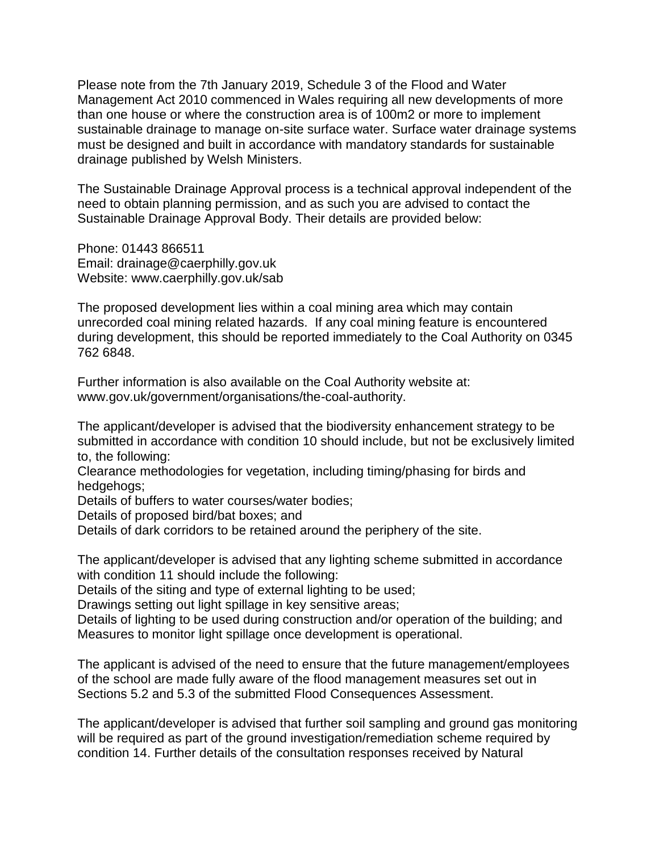Please note from the 7th January 2019, Schedule 3 of the Flood and Water Management Act 2010 commenced in Wales requiring all new developments of more than one house or where the construction area is of 100m2 or more to implement sustainable drainage to manage on-site surface water. Surface water drainage systems must be designed and built in accordance with mandatory standards for sustainable drainage published by Welsh Ministers.

The Sustainable Drainage Approval process is a technical approval independent of the need to obtain planning permission, and as such you are advised to contact the Sustainable Drainage Approval Body. Their details are provided below:

Phone: 01443 866511 Email: drainage@caerphilly.gov.uk Website: www.caerphilly.gov.uk/sab

The proposed development lies within a coal mining area which may contain unrecorded coal mining related hazards. If any coal mining feature is encountered during development, this should be reported immediately to the Coal Authority on 0345 762 6848.

Further information is also available on the Coal Authority website at: www.gov.uk/government/organisations/the-coal-authority.

The applicant/developer is advised that the biodiversity enhancement strategy to be submitted in accordance with condition 10 should include, but not be exclusively limited to, the following:

Clearance methodologies for vegetation, including timing/phasing for birds and hedgehogs;

Details of buffers to water courses/water bodies;

Details of proposed bird/bat boxes; and

Details of dark corridors to be retained around the periphery of the site.

The applicant/developer is advised that any lighting scheme submitted in accordance with condition 11 should include the following:

Details of the siting and type of external lighting to be used;

Drawings setting out light spillage in key sensitive areas;

Details of lighting to be used during construction and/or operation of the building; and Measures to monitor light spillage once development is operational.

The applicant is advised of the need to ensure that the future management/employees of the school are made fully aware of the flood management measures set out in Sections 5.2 and 5.3 of the submitted Flood Consequences Assessment.

The applicant/developer is advised that further soil sampling and ground gas monitoring will be required as part of the ground investigation/remediation scheme required by condition 14. Further details of the consultation responses received by Natural